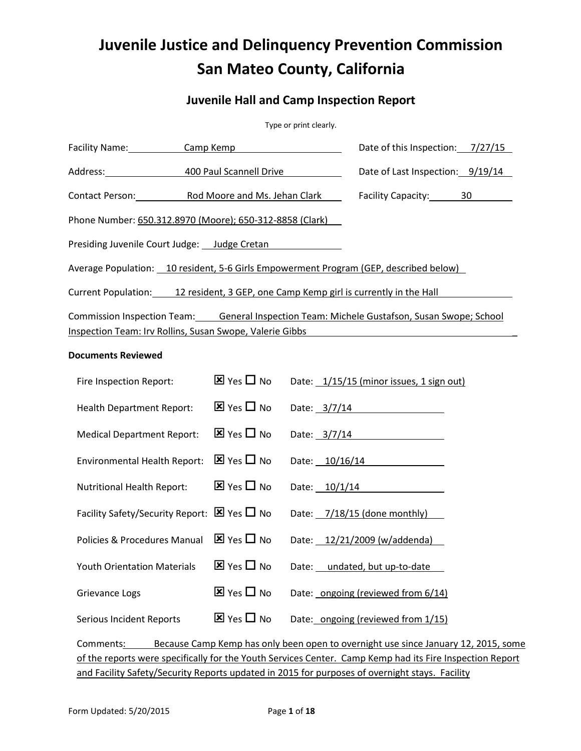# **Juvenile Justice and Delinquency Prevention Commission San Mateo County, California**

# **Juvenile Hall and Camp Inspection Report**

| Type or print clearly. |  |
|------------------------|--|
|------------------------|--|

| Facility Name: Camp Kemp                                                              |                                       | Date of this Inspection: 7/27/15                                                            |
|---------------------------------------------------------------------------------------|---------------------------------------|---------------------------------------------------------------------------------------------|
| Address: 400 Paul Scannell Drive                                                      |                                       | Date of Last Inspection: 9/19/14                                                            |
| Contact Person: Rod Moore and Ms. Jehan Clark                                         |                                       | Facility Capacity: 30                                                                       |
| Phone Number: 650.312.8970 (Moore); 650-312-8858 (Clark)                              |                                       |                                                                                             |
| Presiding Juvenile Court Judge: __ Judge Cretan                                       |                                       |                                                                                             |
| Average Population: 10 resident, 5-6 Girls Empowerment Program (GEP, described below) |                                       |                                                                                             |
| Current Population: 12 resident, 3 GEP, one Camp Kemp girl is currently in the Hall   |                                       |                                                                                             |
|                                                                                       |                                       | Commission Inspection Team: General Inspection Team: Michele Gustafson, Susan Swope; School |
| Inspection Team: Irv Rollins, Susan Swope, Valerie Gibbs                              |                                       |                                                                                             |
| <b>Documents Reviewed</b>                                                             |                                       |                                                                                             |
| Fire Inspection Report:                                                               | $\overline{\mathbf{x}}$ Yes $\Box$ No | Date: 1/15/15 (minor issues, 1 sign out)                                                    |
| <b>Health Department Report:</b>                                                      | $\overline{\mathbf{x}}$ Yes $\Box$ No | Date: $3/7/14$                                                                              |
| <b>Medical Department Report:</b>                                                     | $\overline{\mathbf{x}}$ Yes $\Box$ No | Date: $3/7/14$                                                                              |
| Environmental Health Report:                                                          | $\overline{\mathbf{x}}$ Yes $\Box$ No | Date: 10/16/14                                                                              |
| Nutritional Health Report:                                                            | $\overline{\mathbf{x}}$ Yes $\Box$ No | Date: 10/1/14                                                                               |
| Facility Safety/Security Report: $\boxtimes$ Yes $\Box$ No                            |                                       | Date: 7/18/15 (done monthly)                                                                |
| Policies & Procedures Manual                                                          | $\overline{\mathbf{x}}$ Yes $\Box$ No | Date: 12/21/2009 (w/addenda)                                                                |
| <b>Youth Orientation Materials</b>                                                    | $\overline{\mathbf{x}}$ Yes $\Box$ No | Date: undated, but up-to-date                                                               |
| Grievance Logs                                                                        | $\overline{\mathbf{x}}$ Yes $\Box$ No | Date: ongoing (reviewed from 6/14)                                                          |
| Serious Incident Reports                                                              | $\overline{\mathbf{x}}$ Yes $\Box$ No | Date: ongoing (reviewed from 1/15)                                                          |

Comments: Because Camp Kemp has only been open to overnight use since January 12, 2015, some of the reports were specifically for the Youth Services Center. Camp Kemp had its Fire Inspection Report and Facility Safety/Security Reports updated in 2015 for purposes of overnight stays. Facility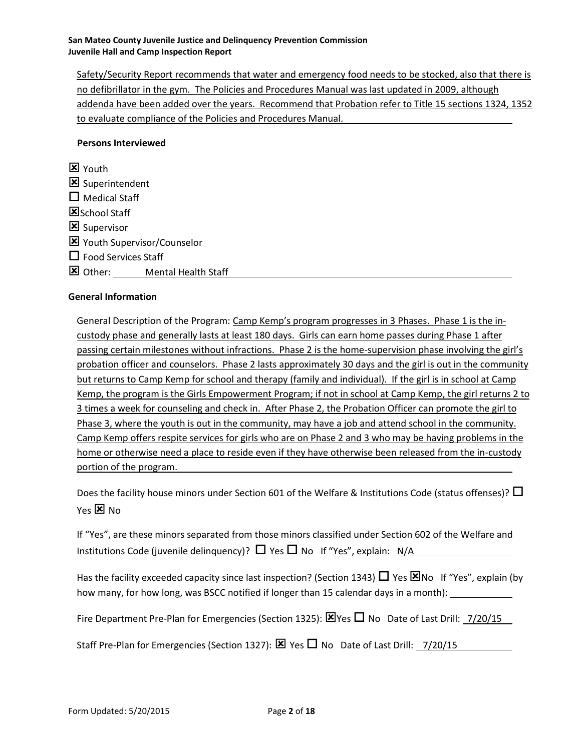Safety/Security Report recommends that water and emergency food needs to be stocked, also that there is no defibrillator in the gym. The Policies and Procedures Manual was last updated in 2009, although addenda have been added over the years. Recommend that Probation refer to Title 15 sections 1324, 1352 to evaluate compliance of the Policies and Procedures Manual.

# **Persons Interviewed**

**X** Youth Superintendent  $\square$  Medical Staff SSchool Staff Supervisor Youth Supervisor/Counselor  $\square$  Food Services Staff **X** Other: Mental Health Staff

# **General Information**

General Description of the Program: Camp Kemp's program progresses in 3 Phases. Phase 1 is the incustody phase and generally lasts at least 180 days. Girls can earn home passes during Phase 1 after passing certain milestones without infractions. Phase 2 is the home-supervision phase involving the girl's probation officer and counselors. Phase 2 lasts approximately 30 days and the girl is out in the community but returns to Camp Kemp for school and therapy (family and individual). If the girl is in school at Camp Kemp, the program is the Girls Empowerment Program; if not in school at Camp Kemp, the girl returns 2 to 3 times a week for counseling and check in. After Phase 2, the Probation Officer can promote the girl to Phase 3, where the youth is out in the community, may have a job and attend school in the community. Camp Kemp offers respite services for girls who are on Phase 2 and 3 who may be having problems in the home or otherwise need a place to reside even if they have otherwise been released from the in-custody portion of the program.

Does the facility house minors under Section 601 of the Welfare & Institutions Code (status offenses)?  $\Box$ Yes  $\boxtimes$  No

If "Yes", are these minors separated from those minors classified under Section 602 of the Welfare and Institutions Code (juvenile delinquency)?  $\Box$  Yes  $\Box$  No If "Yes", explain: N/A

Has the facility exceeded capacity since last inspection? (Section 1343)  $\Box$  Yes  $\boxtimes$  No If "Yes", explain (by how many, for how long, was BSCC notified if longer than 15 calendar days in a month):

Fire Department Pre-Plan for Emergencies (Section 1325):  $\boxtimes$  Yes  $\Box$  No Date of Last Drill:  $\frac{7}{20/15}$ 

Staff Pre-Plan for Emergencies (Section 1327):  $\boxtimes$  Yes  $\Box$  No Date of Last Drill: 7/20/15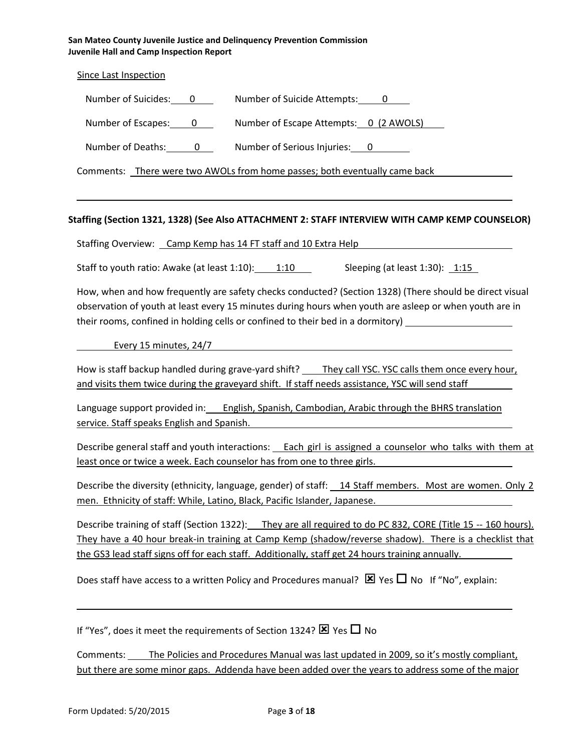Since Last Inspection

| Number of Suicides: | Number of Suicide Attempts: |
|---------------------|-----------------------------|
|---------------------|-----------------------------|

Number of Escapes: 0 Number of Escape Attempts: 0 (2 AWOLS)

Number of Deaths: 0 Number of Serious Injuries: 0

Comments: There were two AWOLs from home passes; both eventually came back

#### **Staffing (Section 1321, 1328) (See Also ATTACHMENT 2: STAFF INTERVIEW WITH CAMP KEMP COUNSELOR)**

Staffing Overview: Camp Kemp has 14 FT staff and 10 Extra Help

Staff to youth ratio: Awake (at least 1:10): 1:10 Sleeping (at least 1:30): 1:15

How, when and how frequently are safety checks conducted? (Section 1328) (There should be direct visual observation of youth at least every 15 minutes during hours when youth are asleep or when youth are in their rooms, confined in holding cells or confined to their bed in a dormitory)

Every 15 minutes, 24/7

How is staff backup handled during grave-yard shift? They call YSC. YSC calls them once every hour, and visits them twice during the graveyard shift. If staff needs assistance, YSC will send staff

Language support provided in: English, Spanish, Cambodian, Arabic through the BHRS translation service. Staff speaks English and Spanish.

Describe general staff and youth interactions: Each girl is assigned a counselor who talks with them at least once or twice a week. Each counselor has from one to three girls.

Describe the diversity (ethnicity, language, gender) of staff: 14 Staff members. Most are women. Only 2 men. Ethnicity of staff: While, Latino, Black, Pacific Islander, Japanese.

Describe training of staff (Section 1322): They are all required to do PC 832, CORE (Title 15 -- 160 hours). They have a 40 hour break-in training at Camp Kemp (shadow/reverse shadow). There is a checklist that the GS3 lead staff signs off for each staff. Additionally, staff get 24 hours training annually.

Does staff have access to a written Policy and Procedures manual?  $\boxtimes$  Yes  $\Box$  No If "No", explain:

If "Yes", does it meet the requirements of Section 1324?  $\times$  Yes  $\Box$  No

Comments: The Policies and Procedures Manual was last updated in 2009, so it's mostly compliant, but there are some minor gaps. Addenda have been added over the years to address some of the major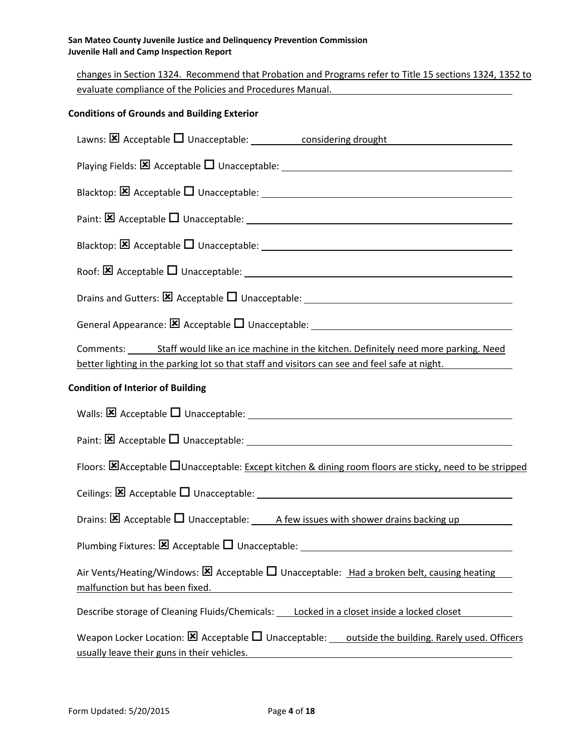changes in Section 1324. Recommend that Probation and Programs refer to Title 15 sections 1324, 1352 to evaluate compliance of the Policies and Procedures Manual.

# **Conditions of Grounds and Building Exterior**

| Lawns: $\boxtimes$ Acceptable $\Box$ Unacceptable: considering drought                                                                                                                                                                                                                    |
|-------------------------------------------------------------------------------------------------------------------------------------------------------------------------------------------------------------------------------------------------------------------------------------------|
|                                                                                                                                                                                                                                                                                           |
|                                                                                                                                                                                                                                                                                           |
|                                                                                                                                                                                                                                                                                           |
|                                                                                                                                                                                                                                                                                           |
|                                                                                                                                                                                                                                                                                           |
|                                                                                                                                                                                                                                                                                           |
|                                                                                                                                                                                                                                                                                           |
| Comments: Staff would like an ice machine in the kitchen. Definitely need more parking. Need<br>better lighting in the parking lot so that staff and visitors can see and feel safe at night.                                                                                             |
| <b>Condition of Interior of Building</b>                                                                                                                                                                                                                                                  |
|                                                                                                                                                                                                                                                                                           |
|                                                                                                                                                                                                                                                                                           |
| Floors: <b>E</b> Acceptable <b>DUnacceptable</b> : Except kitchen & dining room floors are sticky, need to be stripped                                                                                                                                                                    |
|                                                                                                                                                                                                                                                                                           |
|                                                                                                                                                                                                                                                                                           |
|                                                                                                                                                                                                                                                                                           |
| Air Vents/Heating/Windows: $\boxtimes$ Acceptable $\square$ Unacceptable: Had a broken belt, causing heating<br>malfunction but has been fixed.<br><u> 1980 - Johann Barbara, martxa alemaniar argametra (h. 1980).</u>                                                                   |
| Describe storage of Cleaning Fluids/Chemicals: Locked in a closet inside a locked closet                                                                                                                                                                                                  |
| Weapon Locker Location: $\boxtimes$ Acceptable $\square$ Unacceptable: outside the building. Rarely used. Officers<br>usually leave their guns in their vehicles.<br><u> 1980 - Jan Stein Stein Stein Stein Stein Stein Stein Stein Stein Stein Stein Stein Stein Stein Stein Stein S</u> |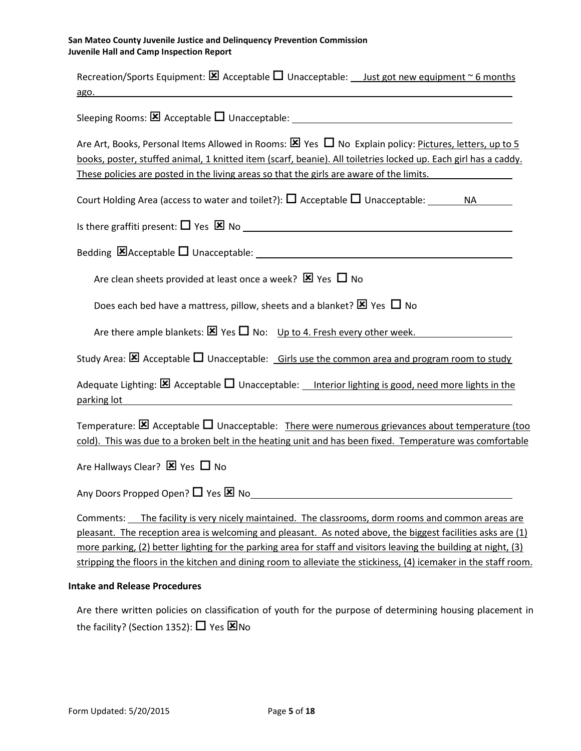| Recreation/Sports Equipment: $\boxtimes$ Acceptable $\square$ Unacceptable: <u>Just got new equipment <math>\sim</math> 6 months</u><br>ago. The contract of the contract of the contract of the contract of the contract of the contract of the contract of the contract of the contract of the contract of the contract of the contract of the contract of the contr                                                                                      |
|-------------------------------------------------------------------------------------------------------------------------------------------------------------------------------------------------------------------------------------------------------------------------------------------------------------------------------------------------------------------------------------------------------------------------------------------------------------|
|                                                                                                                                                                                                                                                                                                                                                                                                                                                             |
| Are Art, Books, Personal Items Allowed in Rooms: $\boxtimes$ Yes $\Box$ No Explain policy: Pictures, letters, up to 5<br>books, poster, stuffed animal, 1 knitted item (scarf, beanie). All toiletries locked up. Each girl has a caddy.<br>These policies are posted in the living areas so that the girls are aware of the limits.                                                                                                                        |
|                                                                                                                                                                                                                                                                                                                                                                                                                                                             |
|                                                                                                                                                                                                                                                                                                                                                                                                                                                             |
|                                                                                                                                                                                                                                                                                                                                                                                                                                                             |
| Are clean sheets provided at least once a week? $\boxtimes$ Yes $\Box$ No                                                                                                                                                                                                                                                                                                                                                                                   |
| Does each bed have a mattress, pillow, sheets and a blanket? $\boxtimes$ Yes $\Box$ No                                                                                                                                                                                                                                                                                                                                                                      |
| Are there ample blankets: $\boxtimes$ Yes $\square$ No: Up to 4. Fresh every other week.                                                                                                                                                                                                                                                                                                                                                                    |
| Study Area: $\boxtimes$ Acceptable $\Box$ Unacceptable: Girls use the common area and program room to study                                                                                                                                                                                                                                                                                                                                                 |
| Adequate Lighting: $\boxtimes$ Acceptable $\Box$ Unacceptable: Interior lighting is good, need more lights in the<br>parking lot                                                                                                                                                                                                                                                                                                                            |
| Temperature: $\boxtimes$ Acceptable $\Box$ Unacceptable: There were numerous grievances about temperature (too<br>cold). This was due to a broken belt in the heating unit and has been fixed. Temperature was comfortable                                                                                                                                                                                                                                  |
| Are Hallways Clear? $\boxtimes$ Yes $\Box$ No                                                                                                                                                                                                                                                                                                                                                                                                               |
|                                                                                                                                                                                                                                                                                                                                                                                                                                                             |
| The facility is very nicely maintained. The classrooms, dorm rooms and common areas are<br>Comments:<br>pleasant. The reception area is welcoming and pleasant. As noted above, the biggest facilities asks are (1)<br>more parking, (2) better lighting for the parking area for staff and visitors leaving the building at night, (3)<br>stripping the floors in the kitchen and dining room to alleviate the stickiness, (4) icemaker in the staff room. |
| <b>Intake and Release Procedures</b>                                                                                                                                                                                                                                                                                                                                                                                                                        |
| Are there written policies on classification of youth for the purpose of determining housing placement in                                                                                                                                                                                                                                                                                                                                                   |

the facility? (Section 1352):  $\Box$  Yes  $\boxtimes$  No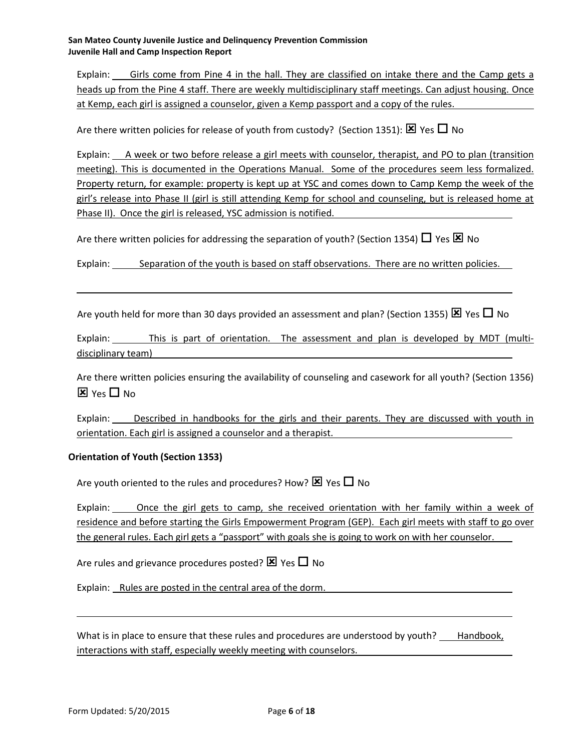Explain: Girls come from Pine 4 in the hall. They are classified on intake there and the Camp gets a heads up from the Pine 4 staff. There are weekly multidisciplinary staff meetings. Can adjust housing. Once at Kemp, each girl is assigned a counselor, given a Kemp passport and a copy of the rules.

Are there written policies for release of youth from custody? (Section 1351):  $\boxtimes$  Yes  $\Box$  No

Explain: A week or two before release a girl meets with counselor, therapist, and PO to plan (transition meeting). This is documented in the Operations Manual. Some of the procedures seem less formalized. Property return, for example: property is kept up at YSC and comes down to Camp Kemp the week of the girl's release into Phase II (girl is still attending Kemp for school and counseling, but is released home at Phase II). Once the girl is released, YSC admission is notified.

Are there written policies for addressing the separation of youth? (Section 1354)  $\Box$  Yes  $\boxtimes$  No

Explain: Separation of the youth is based on staff observations. There are no written policies.

Are youth held for more than 30 days provided an assessment and plan? (Section 1355)  $\times$  Yes  $\Box$  No

Explain: This is part of orientation. The assessment and plan is developed by MDT (multidisciplinary team)

Are there written policies ensuring the availability of counseling and casework for all youth? (Section 1356)  $\overline{\mathbf{x}}$  Yes  $\Box$  No

Explain: Described in handbooks for the girls and their parents. They are discussed with youth in orientation. Each girl is assigned a counselor and a therapist.

# **Orientation of Youth (Section 1353)**

Are youth oriented to the rules and procedures? How?  $\boxtimes$  Yes  $\Box$  No

Explain: Once the girl gets to camp, she received orientation with her family within a week of residence and before starting the Girls Empowerment Program (GEP). Each girl meets with staff to go over the general rules. Each girl gets a "passport" with goals she is going to work on with her counselor.

Are rules and grievance procedures posted?  $\times$  Yes  $\Box$  No

Explain: Rules are posted in the central area of the dorm.

What is in place to ensure that these rules and procedures are understood by youth? \_\_\_ Handbook, interactions with staff, especially weekly meeting with counselors.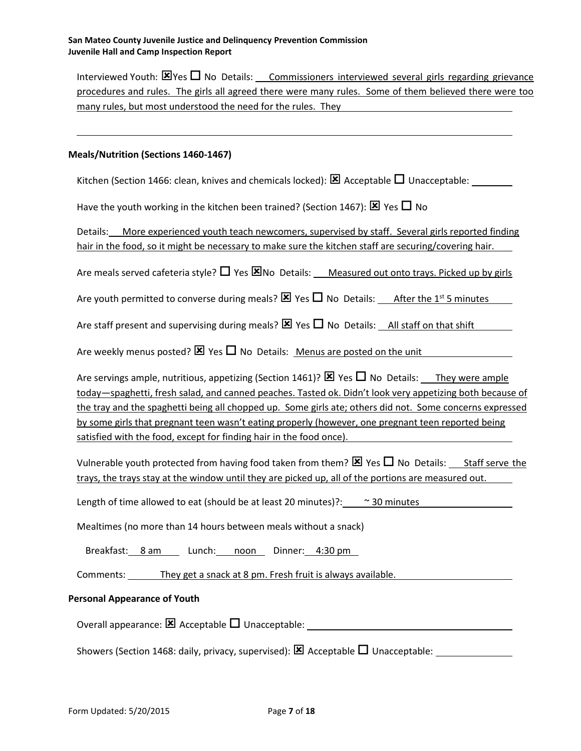Interviewed Youth:  $\Xi$  Yes  $\Box$  No Details: Commissioners interviewed several girls regarding grievance procedures and rules. The girls all agreed there were many rules. Some of them believed there were too many rules, but most understood the need for the rules. They

#### **Meals/Nutrition (Sections 1460-1467)**

Kitchen (Section 1466: clean, knives and chemicals locked):  $\boxtimes$  Acceptable  $\Box$  Unacceptable:

Have the youth working in the kitchen been trained? (Section 1467):  $\boxtimes$  Yes  $\Box$  No

Details: More experienced youth teach newcomers, supervised by staff. Several girls reported finding hair in the food, so it might be necessary to make sure the kitchen staff are securing/covering hair.

Are meals served cafeteria style?  $\Box$  Yes  $\boxtimes$  No Details: Measured out onto trays. Picked up by girls

Are youth permitted to converse during meals?  $\boxtimes$  Yes  $\Box$  No Details: After the 1<sup>st</sup> 5 minutes

Are staff present and supervising during meals?  $\times$  Yes  $\Box$  No Details: All staff on that shift

Are weekly menus posted?  $\boxtimes$  Yes  $\Box$  No Details: Menus are posted on the unit

Are servings ample, nutritious, appetizing (Section 1461)?  $\boxtimes$  Yes  $\Box$  No Details: They were ample today—spaghetti, fresh salad, and canned peaches. Tasted ok. Didn't look very appetizing both because of the tray and the spaghetti being all chopped up. Some girls ate; others did not. Some concerns expressed by some girls that pregnant teen wasn't eating properly (however, one pregnant teen reported being satisfied with the food, except for finding hair in the food once).

Vulnerable youth protected from having food taken from them?  $\boxtimes$  Yes  $\Box$  No Details: Staff serve the trays, the trays stay at the window until they are picked up, all of the portions are measured out.

Length of time allowed to eat (should be at least 20 minutes)?:  $\sim$  30 minutes

Mealtimes (no more than 14 hours between meals without a snack)

Breakfast: 8 am Lunch: noon Dinner: 4:30 pm

Comments: They get a snack at 8 pm. Fresh fruit is always available.

#### **Personal Appearance of Youth**

Overall appearance:  $\boxtimes$  Acceptable  $\Box$  Unacceptable:

Showers (Section 1468: daily, privacy, supervised): Acceptable Unacceptable: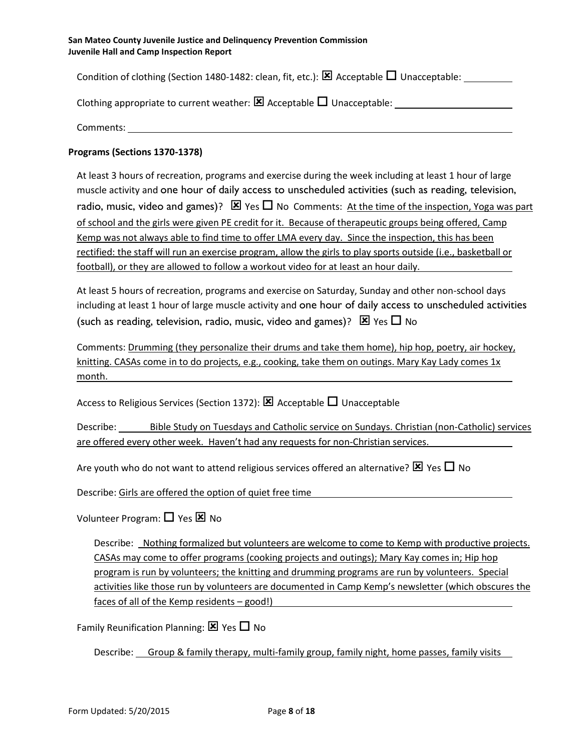Condition of clothing (Section 1480-1482: clean, fit, etc.):  $\boxtimes$  Acceptable  $\Box$  Unacceptable:

| Clothing appropriate to current weather: $\boxtimes$ Acceptable $\Box$ Unacceptable: |  |  |
|--------------------------------------------------------------------------------------|--|--|
|--------------------------------------------------------------------------------------|--|--|

Comments:

# **Programs (Sections 1370-1378)**

At least 3 hours of recreation, programs and exercise during the week including at least 1 hour of large muscle activity and one hour of daily access to unscheduled activities (such as reading, television, radio, music, video and games)?  $\boxtimes$  Yes  $\Box$  No Comments: At the time of the inspection, Yoga was part of school and the girls were given PE credit for it. Because of therapeutic groups being offered, Camp Kemp was not always able to find time to offer LMA every day. Since the inspection, this has been rectified: the staff will run an exercise program, allow the girls to play sports outside (i.e., basketball or football), or they are allowed to follow a workout video for at least an hour daily.

At least 5 hours of recreation, programs and exercise on Saturday, Sunday and other non-school days including at least 1 hour of large muscle activity and one hour of daily access to unscheduled activities (such as reading, television, radio, music, video and games)?  $\boxtimes$  Yes  $\Box$  No

Comments: Drumming (they personalize their drums and take them home), hip hop, poetry, air hockey, knitting. CASAs come in to do projects, e.g., cooking, take them on outings. Mary Kay Lady comes 1x month.

Access to Religious Services (Section 1372):  $\boxtimes$  Acceptable  $\Box$  Unacceptable

Describe: Bible Study on Tuesdays and Catholic service on Sundays. Christian (non-Catholic) services are offered every other week. Haven't had any requests for non-Christian services.

Are youth who do not want to attend religious services offered an alternative?  $\boxtimes$  Yes  $\Box$  No

Describe: Girls are offered the option of quiet free time

Volunteer Program:  $\Box$  Yes  $\boxtimes$  No

Describe: Nothing formalized but volunteers are welcome to come to Kemp with productive projects. CASAs may come to offer programs (cooking projects and outings); Mary Kay comes in; Hip hop program is run by volunteers; the knitting and drumming programs are run by volunteers. Special activities like those run by volunteers are documented in Camp Kemp's newsletter (which obscures the faces of all of the Kemp residents – good!)

Family Reunification Planning:  $\boxtimes$  Yes  $\Box$  No

Describe: Group & family therapy, multi-family group, family night, home passes, family visits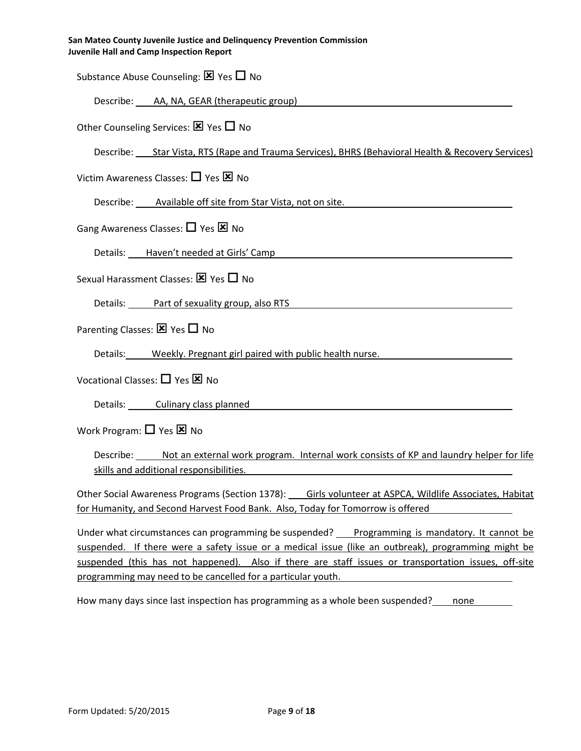Substance Abuse Counseling:  $\boxtimes$  Yes  $\Box$  No

Describe: AA, NA, GEAR (therapeutic group)

Other Counseling Services:  $\boxtimes$  Yes  $\Box$  No

Describe: Star Vista, RTS (Rape and Trauma Services), BHRS (Behavioral Health & Recovery Services)

Victim Awareness Classes:  $\Box$  Yes  $\boxtimes$  No

Describe: Available off site from Star Vista, not on site.

Gang Awareness Classes:  $\Box$  Yes  $\boxtimes$  No

Details: Haven't needed at Girls' Camp

Sexual Harassment Classes:  $\boxtimes$  Yes  $\Box$  No

Details: Part of sexuality group, also RTS

Parenting Classes:  $\times$  Yes  $\Box$  No

Details: Weekly. Pregnant girl paired with public health nurse.

Vocational Classes:  $\Box$  Yes  $\boxtimes$  No

Details: Culinary class planned

Work Program:  $\Box$  Yes  $\boxtimes$  No

Describe: Not an external work program. Internal work consists of KP and laundry helper for life skills and additional responsibilities.

Other Social Awareness Programs (Section 1378): Girls volunteer at ASPCA, Wildlife Associates, Habitat for Humanity, and Second Harvest Food Bank. Also, Today for Tomorrow is offered

Under what circumstances can programming be suspended? Programming is mandatory. It cannot be suspended. If there were a safety issue or a medical issue (like an outbreak), programming might be suspended (this has not happened). Also if there are staff issues or transportation issues, off-site programming may need to be cancelled for a particular youth.

How many days since last inspection has programming as a whole been suspended? none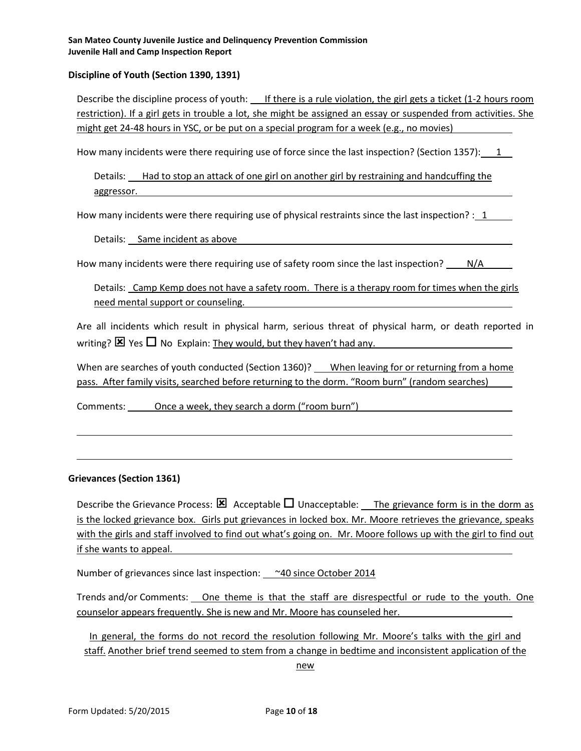## **Discipline of Youth (Section 1390, 1391)**

Describe the discipline process of youth: If there is a rule violation, the girl gets a ticket (1-2 hours room restriction). If a girl gets in trouble a lot, she might be assigned an essay or suspended from activities. She might get 24-48 hours in YSC, or be put on a special program for a week (e.g., no movies)

How many incidents were there requiring use of force since the last inspection? (Section 1357): 1

Details: Had to stop an attack of one girl on another girl by restraining and handcuffing the aggressor.

How many incidents were there requiring use of physical restraints since the last inspection? : 1

Details: Same incident as above

How many incidents were there requiring use of safety room since the last inspection? N/A

Details: Camp Kemp does not have a safety room. There is a therapy room for times when the girls need mental support or counseling.

Are all incidents which result in physical harm, serious threat of physical harm, or death reported in writing?  $\boxtimes$  Yes  $\Box$  No Explain: They would, but they haven't had any.

When are searches of youth conducted (Section 1360)? When leaving for or returning from a home pass. After family visits, searched before returning to the dorm. "Room burn" (random searches)

Comments: Once a week, they search a dorm ("room burn")

#### **Grievances (Section 1361)**

Describe the Grievance Process:  $\boxtimes$  Acceptable  $\Box$  Unacceptable: The grievance form is in the dorm as is the locked grievance box. Girls put grievances in locked box. Mr. Moore retrieves the grievance, speaks with the girls and staff involved to find out what's going on. Mr. Moore follows up with the girl to find out if she wants to appeal.

Number of grievances since last inspection:  $\sim$  20 since October 2014

Trends and/or Comments: One theme is that the staff are disrespectful or rude to the youth. One counselor appears frequently. She is new and Mr. Moore has counseled her.

In general, the forms do not record the resolution following Mr. Moore's talks with the girl and staff. Another brief trend seemed to stem from a change in bedtime and inconsistent application of the

new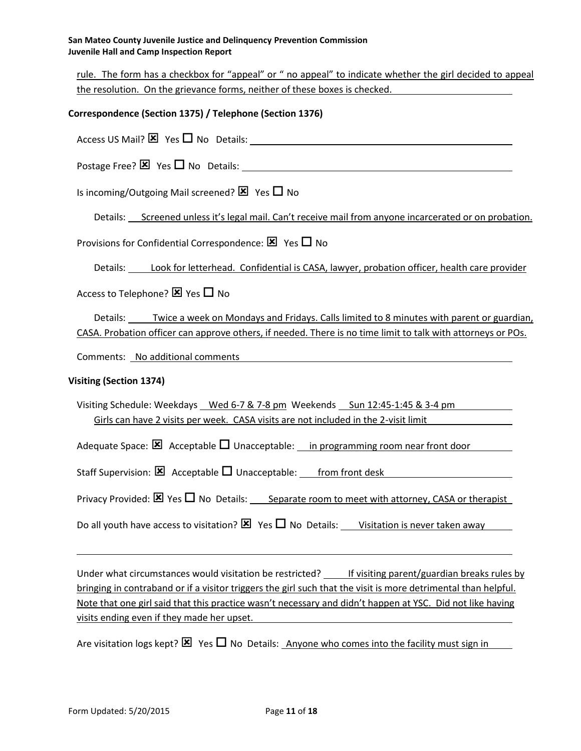rule. The form has a checkbox for "appeal" or " no appeal" to indicate whether the girl decided to appeal the resolution. On the grievance forms, neither of these boxes is checked.

# **Correspondence (Section 1375) / Telephone (Section 1376)**

Access US Mail?  $\boxtimes$  Yes  $\Box$  No Details:

Postage Free?  $\boxtimes$  Yes  $\Box$  No Details:

Is incoming/Outgoing Mail screened?  $\boxtimes$  Yes  $\Box$  No

Details: Screened unless it's legal mail. Can't receive mail from anyone incarcerated or on probation.

Provisions for Confidential Correspondence:  $\times$  Yes  $\Box$  No

Details: Look for letterhead. Confidential is CASA, lawyer, probation officer, health care provider

Access to Telephone?  $\boxtimes$  Yes  $\Box$  No

Details: Twice a week on Mondays and Fridays. Calls limited to 8 minutes with parent or guardian, CASA. Probation officer can approve others, if needed. There is no time limit to talk with attorneys or POs.

Comments: No additional comments

#### **Visiting (Section 1374)**

Visiting Schedule: Weekdays Wed 6-7 & 7-8 pm Weekends Sun 12:45-1:45 & 3-4 pm Girls can have 2 visits per week. CASA visits are not included in the 2-visit limit

Adequate Space:  $\boxtimes$  Acceptable  $\Box$  Unacceptable: in programming room near front door

Staff Supervision:  $\boxtimes$  Acceptable  $\Box$  Unacceptable: from front desk

Privacy Provided:  $\boxtimes$  Yes  $\Box$  No Details: Separate room to meet with attorney, CASA or therapist

Do all youth have access to visitation?  $\boxtimes$  Yes  $\Box$  No Details: Visitation is never taken away

Under what circumstances would visitation be restricted? \_\_\_\_\_ If visiting parent/guardian breaks rules by bringing in contraband or if a visitor triggers the girl such that the visit is more detrimental than helpful. Note that one girl said that this practice wasn't necessary and didn't happen at YSC. Did not like having visits ending even if they made her upset.

Are visitation logs kept?  $\boxtimes$  Yes  $\Box$  No Details: Anyone who comes into the facility must sign in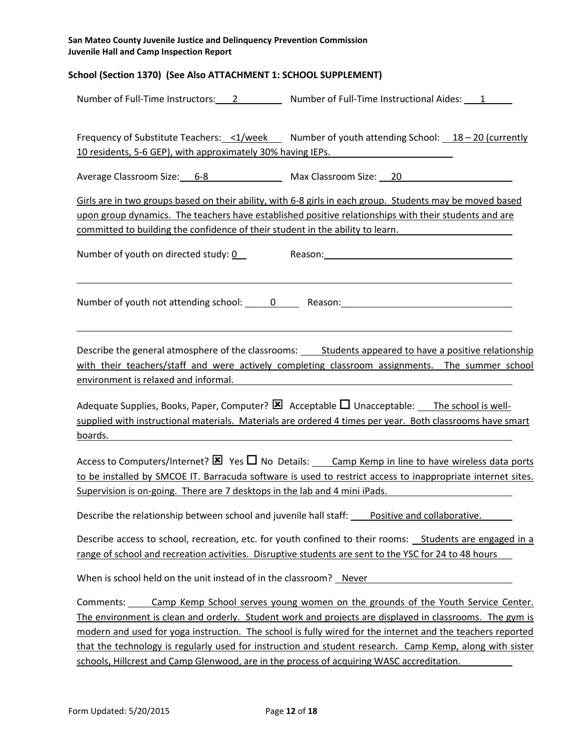## **School (Section 1370) (See Also ATTACHMENT 1: SCHOOL SUPPLEMENT)**

| Number of Full-Time Instructors: |  | Number of Full-Time Instructional Aides: |  |
|----------------------------------|--|------------------------------------------|--|
|----------------------------------|--|------------------------------------------|--|

Frequency of Substitute Teachers: <1/week Number of youth attending School:  $18 - 20$  (currently 10 residents, 5-6 GEP), with approximately 30% having IEPs.

Average Classroom Size: 6-8 Max Classroom Size: 20

Girls are in two groups based on their ability, with 6-8 girls in each group. Students may be moved based upon group dynamics. The teachers have established positive relationships with their students and are committed to building the confidence of their student in the ability to learn.

Number of youth on directed study: 0 Reason: Number of youth on directed study: 0

Number of youth not attending school: 0 Reason: Reason:

Describe the general atmosphere of the classrooms: Students appeared to have a positive relationship with their teachers/staff and were actively completing classroom assignments. The summer school environment is relaxed and informal.

Adequate Supplies, Books, Paper, Computer?  $\boxtimes$  Acceptable  $\Box$  Unacceptable: The school is wellsupplied with instructional materials. Materials are ordered 4 times per year. Both classrooms have smart boards.

Access to Computers/Internet?  $\boxtimes$  Yes  $\Box$  No Details: Camp Kemp in line to have wireless data ports to be installed by SMCOE IT. Barracuda software is used to restrict access to inappropriate internet sites. Supervision is on-going. There are 7 desktops in the lab and 4 mini iPads.

Describe the relationship between school and juvenile hall staff: Positive and collaborative.

Describe access to school, recreation, etc. for youth confined to their rooms: **Students are engaged in a** range of school and recreation activities. Disruptive students are sent to the YSC for 24 to 48 hours

When is school held on the unit instead of in the classroom? Never

Comments: Camp Kemp School serves young women on the grounds of the Youth Service Center. The environment is clean and orderly. Student work and projects are displayed in classrooms. The gym is modern and used for yoga instruction. The school is fully wired for the internet and the teachers reported that the technology is regularly used for instruction and student research. Camp Kemp, along with sister schools, Hillcrest and Camp Glenwood, are in the process of acquiring WASC accreditation.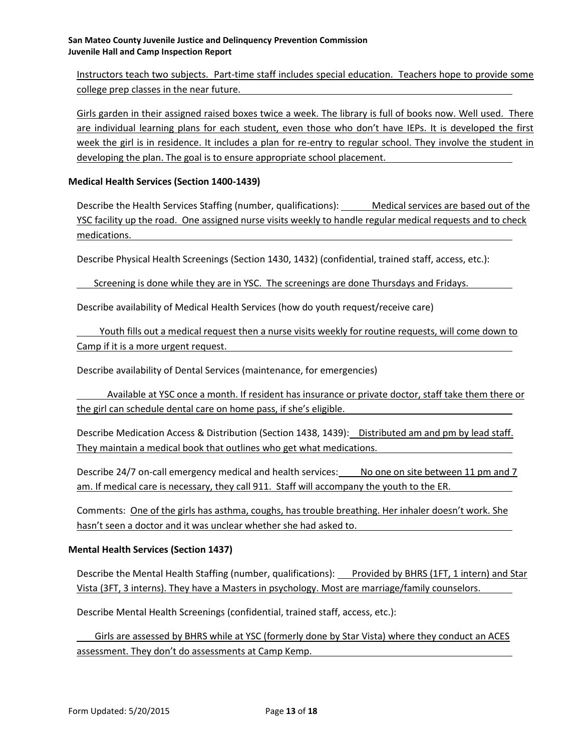Instructors teach two subjects. Part-time staff includes special education. Teachers hope to provide some college prep classes in the near future.

Girls garden in their assigned raised boxes twice a week. The library is full of books now. Well used. There are individual learning plans for each student, even those who don't have IEPs. It is developed the first week the girl is in residence. It includes a plan for re-entry to regular school. They involve the student in developing the plan. The goal is to ensure appropriate school placement.

## **Medical Health Services (Section 1400-1439)**

Describe the Health Services Staffing (number, qualifications): Medical services are based out of the YSC facility up the road. One assigned nurse visits weekly to handle regular medical requests and to check medications.

Describe Physical Health Screenings (Section 1430, 1432) (confidential, trained staff, access, etc.):

Screening is done while they are in YSC. The screenings are done Thursdays and Fridays.

Describe availability of Medical Health Services (how do youth request/receive care)

Youth fills out a medical request then a nurse visits weekly for routine requests, will come down to Camp if it is a more urgent request.

Describe availability of Dental Services (maintenance, for emergencies)

Available at YSC once a month. If resident has insurance or private doctor, staff take them there or the girl can schedule dental care on home pass, if she's eligible.

Describe Medication Access & Distribution (Section 1438, 1439): Distributed am and pm by lead staff. They maintain a medical book that outlines who get what medications.

Describe 24/7 on-call emergency medical and health services: No one on site between 11 pm and 7 am. If medical care is necessary, they call 911. Staff will accompany the youth to the ER.

Comments: One of the girls has asthma, coughs, has trouble breathing. Her inhaler doesn't work. She hasn't seen a doctor and it was unclear whether she had asked to.

#### **Mental Health Services (Section 1437)**

Describe the Mental Health Staffing (number, qualifications): Provided by BHRS (1FT, 1 intern) and Star Vista (3FT, 3 interns). They have a Masters in psychology. Most are marriage/family counselors.

Describe Mental Health Screenings (confidential, trained staff, access, etc.):

Girls are assessed by BHRS while at YSC (formerly done by Star Vista) where they conduct an ACES assessment. They don't do assessments at Camp Kemp.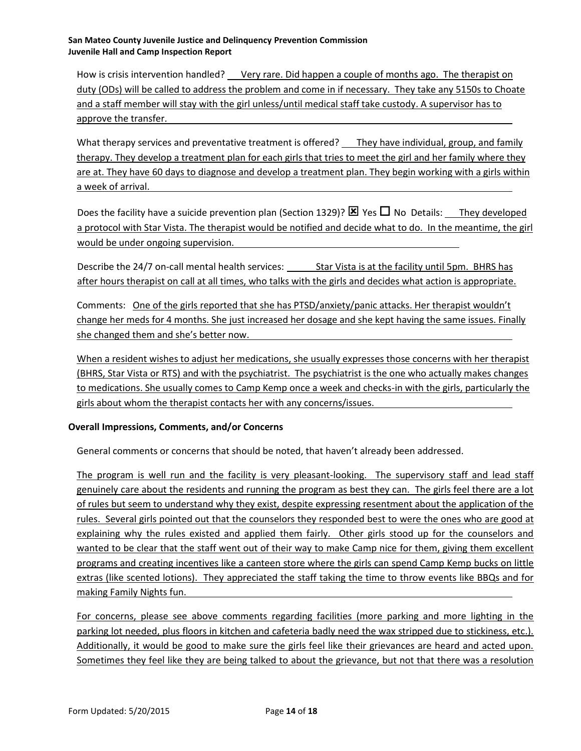How is crisis intervention handled? Very rare. Did happen a couple of months ago. The therapist on duty (ODs) will be called to address the problem and come in if necessary. They take any 5150s to Choate and a staff member will stay with the girl unless/until medical staff take custody. A supervisor has to approve the transfer.

What therapy services and preventative treatment is offered? They have individual, group, and family therapy. They develop a treatment plan for each girls that tries to meet the girl and her family where they are at. They have 60 days to diagnose and develop a treatment plan. They begin working with a girls within a week of arrival.

Does the facility have a suicide prevention plan (Section 1329)?  $\boxtimes$  Yes  $\Box$  No Details: They developed a protocol with Star Vista. The therapist would be notified and decide what to do. In the meantime, the girl would be under ongoing supervision.

Describe the 24/7 on-call mental health services: Star Vista is at the facility until 5pm. BHRS has after hours therapist on call at all times, who talks with the girls and decides what action is appropriate.

Comments: One of the girls reported that she has PTSD/anxiety/panic attacks. Her therapist wouldn't change her meds for 4 months. She just increased her dosage and she kept having the same issues. Finally she changed them and she's better now.

When a resident wishes to adjust her medications, she usually expresses those concerns with her therapist (BHRS, Star Vista or RTS) and with the psychiatrist. The psychiatrist is the one who actually makes changes to medications. She usually comes to Camp Kemp once a week and checks-in with the girls, particularly the girls about whom the therapist contacts her with any concerns/issues.

# **Overall Impressions, Comments, and/or Concerns**

General comments or concerns that should be noted, that haven't already been addressed.

The program is well run and the facility is very pleasant-looking. The supervisory staff and lead staff genuinely care about the residents and running the program as best they can. The girls feel there are a lot of rules but seem to understand why they exist, despite expressing resentment about the application of the rules. Several girls pointed out that the counselors they responded best to were the ones who are good at explaining why the rules existed and applied them fairly. Other girls stood up for the counselors and wanted to be clear that the staff went out of their way to make Camp nice for them, giving them excellent programs and creating incentives like a canteen store where the girls can spend Camp Kemp bucks on little extras (like scented lotions). They appreciated the staff taking the time to throw events like BBQs and for making Family Nights fun.

For concerns, please see above comments regarding facilities (more parking and more lighting in the parking lot needed, plus floors in kitchen and cafeteria badly need the wax stripped due to stickiness, etc.). Additionally, it would be good to make sure the girls feel like their grievances are heard and acted upon. Sometimes they feel like they are being talked to about the grievance, but not that there was a resolution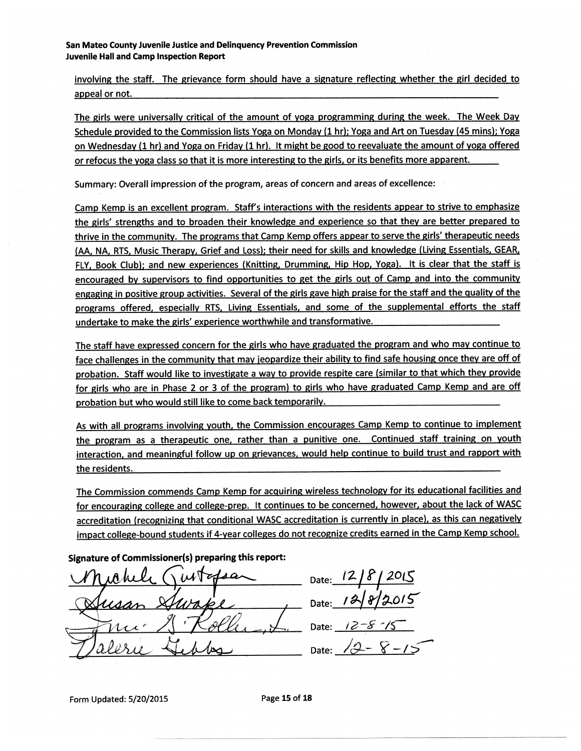involving the staff. The grievance form should have a signature reflecting whether the girl decided to appeal or not.

The girls were universally critical of the amount of yoga programming during the week. The Week Day Schedule provided to the Commission lists Yoga on Monday (1 hr); Yoga and Art on Tuesday (45 mins); Yoga on Wednesday (1 hr) and Yoga on Friday (1 hr). It might be good to reevaluate the amount of yoga offered or refocus the voga class so that it is more interesting to the girls, or its benefits more apparent.

Summary: Overall impression of the program, areas of concern and areas of excellence:

Camp Kemp is an excellent program. Staff's interactions with the residents appear to strive to emphasize the girls' strengths and to broaden their knowledge and experience so that they are better prepared to thrive in the community. The programs that Camp Kemp offers appear to serve the girls' therapeutic needs (AA, NA, RTS, Music Therapy, Grief and Loss); their need for skills and knowledge (Living Essentials, GEAR, FLY, Book Club); and new experiences (Knitting, Drumming, Hip Hop, Yoga). It is clear that the staff is encouraged by supervisors to find opportunities to get the girls out of Camp and into the community engaging in positive group activities. Several of the girls gave high praise for the staff and the quality of the programs offered, especially RTS, Living Essentials, and some of the supplemental efforts the staff undertake to make the girls' experience worthwhile and transformative.

The staff have expressed concern for the girls who have graduated the program and who may continue to face challenges in the community that may jeopardize their ability to find safe housing once they are off of probation. Staff would like to investigate a way to provide respite care (similar to that which they provide for girls who are in Phase 2 or 3 of the program) to girls who have graduated Camp Kemp and are off probation but who would still like to come back temporarily.

As with all programs involving youth, the Commission encourages Camp Kemp to continue to implement the program as a therapeutic one, rather than a punitive one. Continued staff training on youth interaction, and meaningful follow up on grievances, would help continue to build trust and rapport with the residents.

The Commission commends Camp Kemp for acquiring wireless technology for its educational facilities and for encouraging college and college-prep. It continues to be concerned, however, about the lack of WASC accreditation (recognizing that conditional WASC accreditation is currently in place), as this can negatively impact college-bound students if 4-year colleges do not recognize credits earned in the Camp Kemp school.

Signature of Commissioner(s) preparing this report:

Date: Date: 12/8/2015 Date:  $/2$ Date: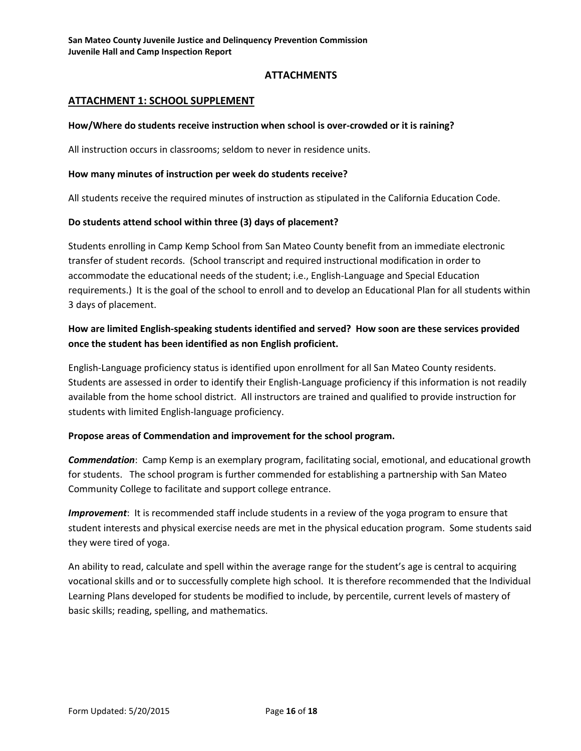# **ATTACHMENTS**

# **ATTACHMENT 1: SCHOOL SUPPLEMENT**

#### **How/Where do students receive instruction when school is over-crowded or it is raining?**

All instruction occurs in classrooms; seldom to never in residence units.

#### **How many minutes of instruction per week do students receive?**

All students receive the required minutes of instruction as stipulated in the California Education Code.

#### **Do students attend school within three (3) days of placement?**

Students enrolling in Camp Kemp School from San Mateo County benefit from an immediate electronic transfer of student records. (School transcript and required instructional modification in order to accommodate the educational needs of the student; i.e., English-Language and Special Education requirements.) It is the goal of the school to enroll and to develop an Educational Plan for all students within 3 days of placement.

# **How are limited English-speaking students identified and served? How soon are these services provided once the student has been identified as non English proficient.**

English-Language proficiency status is identified upon enrollment for all San Mateo County residents. Students are assessed in order to identify their English-Language proficiency if this information is not readily available from the home school district. All instructors are trained and qualified to provide instruction for students with limited English-language proficiency.

# **Propose areas of Commendation and improvement for the school program.**

*Commendation*: Camp Kemp is an exemplary program, facilitating social, emotional, and educational growth for students. The school program is further commended for establishing a partnership with San Mateo Community College to facilitate and support college entrance.

*Improvement*: It is recommended staff include students in a review of the yoga program to ensure that student interests and physical exercise needs are met in the physical education program. Some students said they were tired of yoga.

An ability to read, calculate and spell within the average range for the student's age is central to acquiring vocational skills and or to successfully complete high school. It is therefore recommended that the Individual Learning Plans developed for students be modified to include, by percentile, current levels of mastery of basic skills; reading, spelling, and mathematics.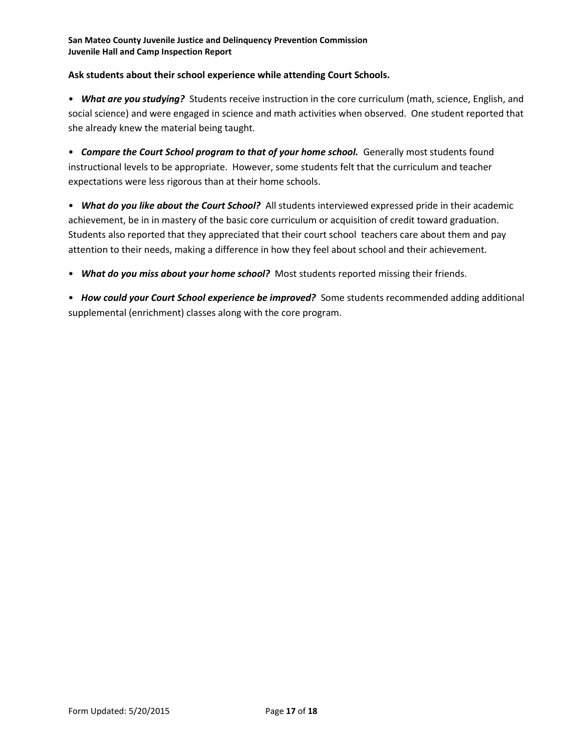# **Ask students about their school experience while attending Court Schools.**

• *What are you studying?* Students receive instruction in the core curriculum (math, science, English, and social science) and were engaged in science and math activities when observed. One student reported that she already knew the material being taught.

• *Compare the Court School program to that of your home school.* Generally most students found instructional levels to be appropriate. However, some students felt that the curriculum and teacher expectations were less rigorous than at their home schools.

• *What do you like about the Court School?* All students interviewed expressed pride in their academic achievement, be in in mastery of the basic core curriculum or acquisition of credit toward graduation. Students also reported that they appreciated that their court school teachers care about them and pay attention to their needs, making a difference in how they feel about school and their achievement.

• *What do you miss about your home school?* Most students reported missing their friends.

• *How could your Court School experience be improved?* Some students recommended adding additional supplemental (enrichment) classes along with the core program.